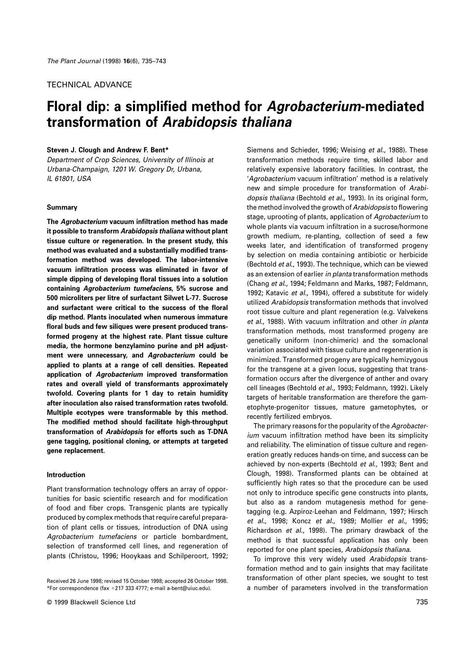# TECHNICAL ADVANCE

# **Floral dip: a simplified method for Agrobacterium-mediated transformation of Arabidopsis thaliana**

#### **Steven J. Clough and Andrew F. Bent\***

Department of Crop Sciences, University of Illinois at Urbana-Champaign, 1201 W. Gregory Dr, Urbana, IL 61801, USA

#### **Summary**

**The Agrobacterium vacuum infiltration method has made it possible to transform Arabidopsis thaliana without plant tissue culture or regeneration. In the present study, this method was evaluated and a substantially modified transformation method was developed. The labor-intensive vacuum infiltration process was eliminated in favor of simple dipping of developing floral tissues into a solution containing Agrobacterium tumefaciens, 5% sucrose and 500 microliters per litre of surfactant Silwet L-77. Sucrose and surfactant were critical to the success of the floral dip method. Plants inoculated when numerous immature floral buds and few siliques were present produced transformed progeny at the highest rate. Plant tissue culture media, the hormone benzylamino purine and pH adjustment were unnecessary, and Agrobacterium could be applied to plants at a range of cell densities. Repeated application of Agrobacterium improved transformation rates and overall yield of transformants approximately twofold. Covering plants for 1 day to retain humidity after inoculation also raised transformation rates twofold. Multiple ecotypes were transformable by this method. The modified method should facilitate high-throughput transformation of Arabidopsis for efforts such as T-DNA gene tagging, positional cloning, or attempts at targeted gene replacement.**

## **Introduction**

Plant transformation technology offers an array of opportunities for basic scientific research and for modification of food and fiber crops. Transgenic plants are typically produced by complex methods that require careful preparation of plant cells or tissues, introduction of DNA using Agrobacterium tumefaciens or particle bombardment, selection of transformed cell lines, and regeneration of plants (Christou, 1996; Hooykaas and Schilperoort, 1992; Siemens and Schieder, 1996; Weising et al., 1988). These transformation methods require time, skilled labor and relatively expensive laboratory facilities. In contrast, the 'Agrobacterium vacuum infiltration' method is a relatively new and simple procedure for transformation of Arabidopsis thaliana (Bechtold et al., 1993). In its original form, the method involved the growth of Arabidopsis to flowering stage, uprooting of plants, application of Agrobacterium to whole plants via vacuum infiltration in a sucrose/hormone growth medium, re-planting, collection of seed a few weeks later, and identification of transformed progeny by selection on media containing antibiotic or herbicide (Bechtold et al., 1993). The technique, which can be viewed as an extension of earlier in planta transformation methods (Chang et al., 1994; Feldmann and Marks, 1987; Feldmann, 1992; Katavic et al., 1994), offered a substitute for widely utilized Arabidopsis transformation methods that involved root tissue culture and plant regeneration (e.g. Valvekens et al., 1988). With vacuum infiltration and other in planta transformation methods, most transformed progeny are genetically uniform (non-chimeric) and the somaclonal variation associated with tissue culture and regeneration is minimized. Transformed progeny are typically hemizygous for the transgene at a given locus, suggesting that transformation occurs after the divergence of anther and ovary cell lineages (Bechtold et al., 1993; Feldmann, 1992). Likely targets of heritable transformation are therefore the gametophyte-progenitor tissues, mature gametophytes, or recently fertilized embryos.

The primary reasons for the popularity of the Agrobacterium vacuum infiltration method have been its simplicity and reliability. The elimination of tissue culture and regeneration greatly reduces hands-on time, and success can be achieved by non-experts (Bechtold et al., 1993; Bent and Clough, 1998). Transformed plants can be obtained at sufficiently high rates so that the procedure can be used not only to introduce specific gene constructs into plants, but also as a random mutagenesis method for genetagging (e.g. Azpiroz-Leehan and Feldmann, 1997; Hirsch et al., 1998; Koncz et al., 1989; Mollier et al., 1995; Richardson et al., 1998). The primary drawback of the method is that successful application has only been reported for one plant species, Arabidopsis thaliana.

To improve this very widely used Arabidopsis transformation method and to gain insights that may facilitate transformation of other plant species, we sought to test a number of parameters involved in the transformation

Received 26 June 1998; revised 15 October 1998; accepted 26 October 1998. \*For correspondence (fax  $+217$  333 4777; e-mail a-bent@uiuc.edu).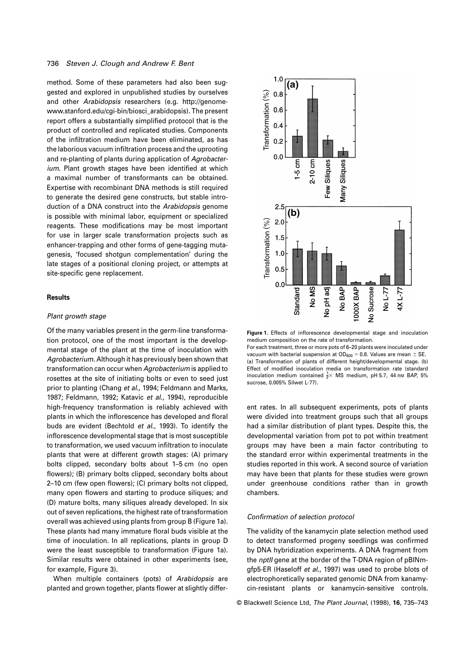## 736 Steven J. Clough and Andrew F. Bent

method. Some of these parameters had also been suggested and explored in unpublished studies by ourselves and other Arabidopsis researchers (e.g. http://genomewww.stanford.edu/cgi-bin/biosci\_arabidopsis). The present report offers a substantially simplified protocol that is the product of controlled and replicated studies. Components of the infiltration medium have been eliminated, as has the laborious vacuum infiltration process and the uprooting and re-planting of plants during application of Agrobacterium. Plant growth stages have been identified at which a maximal number of transformants can be obtained. Expertise with recombinant DNA methods is still required to generate the desired gene constructs, but stable introduction of a DNA construct into the Arabidopsis genome is possible with minimal labor, equipment or specialized reagents. These modifications may be most important for use in larger scale transformation projects such as enhancer-trapping and other forms of gene-tagging mutagenesis, 'focused shotgun complementation' during the late stages of a positional cloning project, or attempts at site-specific gene replacement.

#### **Results**

#### Plant growth stage

Of the many variables present in the germ-line transformation protocol, one of the most important is the developmental stage of the plant at the time of inoculation with Agrobacterium. Although it has previously been shown that transformation can occur when Agrobacterium is applied to rosettes at the site of initiating bolts or even to seed just prior to planting (Chang et al., 1994; Feldmann and Marks, 1987; Feldmann, 1992; Katavic et al., 1994), reproducible high-frequency transformation is reliably achieved with plants in which the inflorescence has developed and floral buds are evident (Bechtold et al., 1993). To identify the inflorescence developmental stage that is most susceptible to transformation, we used vacuum infiltration to inoculate plants that were at different growth stages: (A) primary bolts clipped, secondary bolts about 1–5 cm (no open flowers); (B) primary bolts clipped, secondary bolts about 2–10 cm (few open flowers); (C) primary bolts not clipped, many open flowers and starting to produce siliques; and (D) mature bolts, many siliques already developed. In six out of seven replications, the highest rate of transformation overall was achieved using plants from group B (Figure 1a). These plants had many immature floral buds visible at the time of inoculation. In all replications, plants in group D were the least susceptible to transformation (Figure 1a). Similar results were obtained in other experiments (see, for example, Figure 3).

When multiple containers (pots) of Arabidopsis are planted and grown together, plants flower at slightly differ-



**Figure 1.** Effects of inflorescence developmental stage and inoculation medium composition on the rate of transformation.

For each treatment, three or more pots of 6–20 plants were inoculated under vacuum with bacterial suspension at  $OD_{600} = 0.8$ . Values are mean  $\pm$  SE. (a) Transformation of plants of different height/developmental stage. (b) Effect of modified inoculation media on transformation rate (standard inoculation medium contained  $\frac{1}{2} \times$  MS medium, pH 5.7, 44 nm BAP, 5% sucrose, 0.005% Silwet L-77).

ent rates. In all subsequent experiments, pots of plants were divided into treatment groups such that all groups had a similar distribution of plant types. Despite this, the developmental variation from pot to pot within treatment groups may have been a main factor contributing to the standard error within experimental treatments in the studies reported in this work. A second source of variation may have been that plants for these studies were grown under greenhouse conditions rather than in growth chambers.

#### Confirmation of selection protocol

The validity of the kanamycin plate selection method used to detect transformed progeny seedlings was confirmed by DNA hybridization experiments. A DNA fragment from the *nptll* gene at the border of the T-DNA region of pBINmgfp5-ER (Haseloff et al., 1997) was used to probe blots of electrophoretically separated genomic DNA from kanamycin-resistant plants or kanamycin-sensitive controls.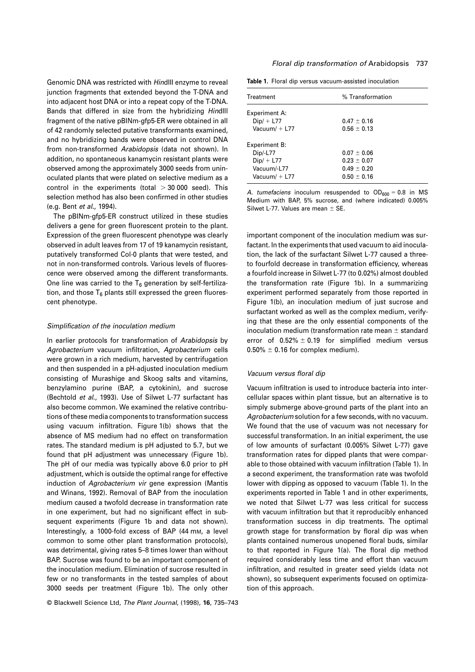Genomic DNA was restricted with HindIII enzyme to reveal junction fragments that extended beyond the T-DNA and into adjacent host DNA or into a repeat copy of the T-DNA. Bands that differed in size from the hybridizing HindIII fragment of the native pBINm-gfp5-ER were obtained in all of 42 randomly selected putative transformants examined, and no hybridizing bands were observed in control DNA from non-transformed Arabidopsis (data not shown). In addition, no spontaneous kanamycin resistant plants were observed among the approximately 3000 seeds from uninoculated plants that were plated on selective medium as a control in the experiments (total  $>$  30 000 seed). This selection method has also been confirmed in other studies (e.g. Bent et al., 1994).

The pBINm-gfp5-ER construct utilized in these studies delivers a gene for green fluorescent protein to the plant. Expression of the green fluorescent phenotype was clearly observed in adult leaves from 17 of 19 kanamycin resistant, putatively transformed Col-0 plants that were tested, and not in non-transformed controls. Various levels of fluorescence were observed among the different transformants. One line was carried to the  $T_6$  generation by self-fertilization, and those  $T_6$  plants still expressed the green fluorescent phenotype.

## Simplification of the inoculation medium

In earlier protocols for transformation of Arabidopsis by Agrobacterium vacuum infiltration, Agrobacterium cells were grown in a rich medium, harvested by centrifugation and then suspended in a pH-adjusted inoculation medium consisting of Murashige and Skoog salts and vitamins, benzylamino purine (BAP, a cytokinin), and sucrose (Bechtold et al., 1993). Use of Silwet L-77 surfactant has also become common. We examined the relative contributions of these media components to transformation success using vacuum infiltration. Figure 1(b) shows that the absence of MS medium had no effect on transformation rates. The standard medium is pH adjusted to 5.7, but we found that pH adjustment was unnecessary (Figure 1b). The pH of our media was typically above 6.0 prior to pH adjustment, which is outside the optimal range for effective induction of Agrobacterium vir gene expression (Mantis and Winans, 1992). Removal of BAP from the inoculation medium caused a twofold decrease in transformation rate in one experiment, but had no significant effect in subsequent experiments (Figure 1b and data not shown). Interestingly, a 1000-fold excess of BAP (44 mM, a level common to some other plant transformation protocols), was detrimental, giving rates 5–8 times lower than without BAP. Sucrose was found to be an important component of the inoculation medium. Elimination of sucrose resulted in few or no transformants in the tested samples of about 3000 seeds per treatment (Figure 1b). The only other

© Blackwell Science Ltd, The Plant Journal, (1998), **16**, 735–743

#### Floral dip transformation of Arabidopsis 737

| Table 1. Floral dip versus vacuum-assisted inoculation |
|--------------------------------------------------------|
|--------------------------------------------------------|

| Treatment            | % Transformation |
|----------------------|------------------|
| <b>Experiment A:</b> |                  |
| $Dip/ + L77$         | $0.47 \pm 0.16$  |
| Vacuum $/ +$ L77     | $0.56 \pm 0.13$  |
| Experiment B:        |                  |
| Dip/-L77             | $0.07 \pm 0.06$  |
| $Dip/ + L77$         | $0.23 \pm 0.07$  |
| Vacuum/-L77          | $0.49 \pm 0.20$  |
| Vacuum $/ +$ L77     | $0.50 \pm 0.16$  |

A. tumefaciens inoculum resuspended to  $OD<sub>600</sub> = 0.8$  in MS Medium with BAP, 5% sucrose, and (where indicated) 0.005% Silwet L-77. Values are mean  $\pm$  SE.

important component of the inoculation medium was surfactant. In the experiments that used vacuum to aid inoculation, the lack of the surfactant Silwet L-77 caused a threeto fourfold decrease in transformation efficiency, whereas a fourfold increase in Silwet L-77 (to 0.02%) almost doubled the transformation rate (Figure 1b). In a summarizing experiment performed separately from those reported in Figure 1(b), an inoculation medium of just sucrose and surfactant worked as well as the complex medium, verifying that these are the only essential components of the inoculation medium (transformation rate mean  $\pm$  standard error of  $0.52\% \pm 0.19$  for simplified medium versus  $0.50\% \pm 0.16$  for complex medium).

## Vacuum versus floral dip

Vacuum infiltration is used to introduce bacteria into intercellular spaces within plant tissue, but an alternative is to simply submerge above-ground parts of the plant into an Agrobacterium solution for a few seconds, with no vacuum. We found that the use of vacuum was not necessary for successful transformation. In an initial experiment, the use of low amounts of surfactant (0.005% Silwet L-77) gave transformation rates for dipped plants that were comparable to those obtained with vacuum infiltration (Table 1). In a second experiment, the transformation rate was twofold lower with dipping as opposed to vacuum (Table 1). In the experiments reported in Table 1 and in other experiments, we noted that Silwet L-77 was less critical for success with vacuum infiltration but that it reproducibly enhanced transformation success in dip treatments. The optimal growth stage for transformation by floral dip was when plants contained numerous unopened floral buds, similar to that reported in Figure 1(a). The floral dip method required considerably less time and effort than vacuum infiltration, and resulted in greater seed yields (data not shown), so subsequent experiments focused on optimization of this approach.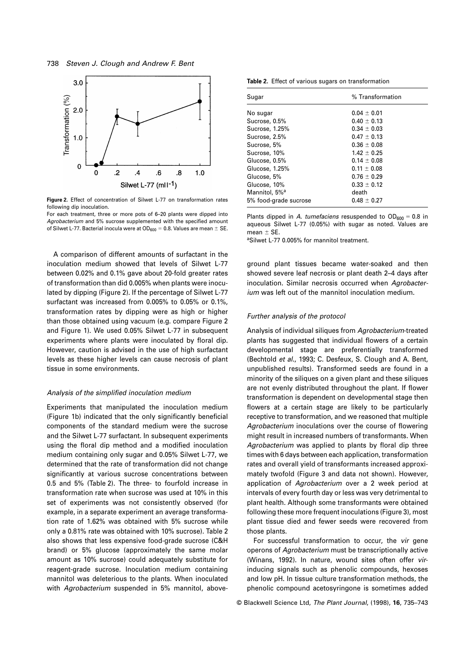

**Figure 2.** Effect of concentration of Silwet L-77 on transformation rates following dip inoculation.

For each treatment, three or more pots of 6–20 plants were dipped into Agrobacterium and 5% sucrose supplemented with the specified amount of Silwet L-77. Bacterial inocula were at  $OD_{600} = 0.8$ . Values are mean  $\pm$  SE.

A comparison of different amounts of surfactant in the inoculation medium showed that levels of Silwet L-77 between 0.02% and 0.1% gave about 20-fold greater rates of transformation than did 0.005% when plants were inoculated by dipping (Figure 2). If the percentage of Silwet L-77 surfactant was increased from 0.005% to 0.05% or 0.1%, transformation rates by dipping were as high or higher than those obtained using vacuum (e.g. compare Figure 2 and Figure 1). We used 0.05% Silwet L-77 in subsequent experiments where plants were inoculated by floral dip. However, caution is advised in the use of high surfactant levels as these higher levels can cause necrosis of plant tissue in some environments.

## Analysis of the simplified inoculation medium

Experiments that manipulated the inoculation medium (Figure 1b) indicated that the only significantly beneficial components of the standard medium were the sucrose and the Silwet L-77 surfactant. In subsequent experiments using the floral dip method and a modified inoculation medium containing only sugar and 0.05% Silwet L-77, we determined that the rate of transformation did not change significantly at various sucrose concentrations between 0.5 and 5% (Table 2). The three- to fourfold increase in transformation rate when sucrose was used at 10% in this set of experiments was not consistently observed (for example, in a separate experiment an average transformation rate of 1.62% was obtained with 5% sucrose while only a 0.81% rate was obtained with 10% sucrose). Table 2 also shows that less expensive food-grade sucrose (C&H brand) or 5% glucose (approximately the same molar amount as 10% sucrose) could adequately substitute for reagent-grade sucrose. Inoculation medium containing mannitol was deleterious to the plants. When inoculated with Agrobacterium suspended in 5% mannitol, above-

**Table 2.** Effect of various sugars on transformation

| Sugar                     | % Transformation |
|---------------------------|------------------|
| No sugar                  | $0.04 + 0.01$    |
| Sucrose, 0.5%             | $0.40 \pm 0.13$  |
| Sucrose, 1.25%            | $0.34 \pm 0.03$  |
| Sucrose, 2.5%             | $0.47 \pm 0.13$  |
| Sucrose, 5%               | $0.36 \pm 0.08$  |
| Sucrose, 10%              | $1.42 \pm 0.25$  |
| Glucose, 0.5%             | $0.14 \pm 0.08$  |
| Glucose, 1.25%            | $0.11 \pm 0.08$  |
| Glucose, 5%               | $0.76 \pm 0.29$  |
| Glucose, 10%              | $0.33 \pm 0.12$  |
| Mannitol, 5% <sup>a</sup> | death            |
| 5% food-grade sucrose     | $0.48 \pm 0.27$  |
|                           |                  |

Plants dipped in A. tumefaciens resuspended to  $OD_{600} = 0.8$  in aqueous Silwet L-77 (0.05%) with sugar as noted. Values are mean  $\pm$  SE.

aSilwet L-77 0.005% for mannitol treatment.

ground plant tissues became water-soaked and then showed severe leaf necrosis or plant death 2–4 days after inoculation. Similar necrosis occurred when Agrobacterium was left out of the mannitol inoculation medium.

## Further analysis of the protocol

Analysis of individual siliques from Agrobacterium-treated plants has suggested that individual flowers of a certain developmental stage are preferentially transformed (Bechtold et al., 1993; C. Desfeux, S. Clough and A. Bent, unpublished results). Transformed seeds are found in a minority of the siliques on a given plant and these siliques are not evenly distributed throughout the plant. If flower transformation is dependent on developmental stage then flowers at a certain stage are likely to be particularly receptive to transformation, and we reasoned that multiple Agrobacterium inoculations over the course of flowering might result in increased numbers of transformants. When Agrobacterium was applied to plants by floral dip three times with 6 days between each application, transformation rates and overall yield of transformants increased approximately twofold (Figure 3 and data not shown). However, application of Agrobacterium over a 2 week period at intervals of every fourth day or less was very detrimental to plant health. Although some transformants were obtained following these more frequent inoculations (Figure 3), most plant tissue died and fewer seeds were recovered from those plants.

For successful transformation to occur, the vir gene operons of Agrobacterium must be transcriptionally active (Winans, 1992). In nature, wound sites often offer virinducing signals such as phenolic compounds, hexoses and low pH. In tissue culture transformation methods, the phenolic compound acetosyringone is sometimes added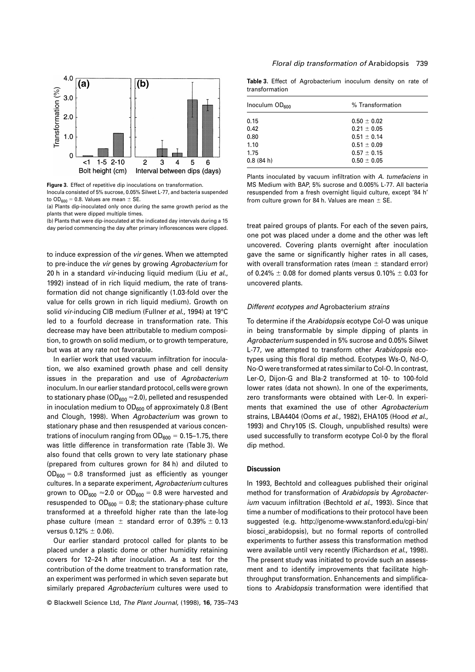

**Figure 3.** Effect of repetitive dip inoculations on transformation. Inocula consisted of 5% sucrose, 0.05% Silwet L-77, and bacteria suspended to OD $_{600}$  = 0.8. Values are mean  $\pm$  SE.

(a) Plants dip-inoculated only once during the same growth period as the plants that were dipped multiple times.

(b) Plants that were dip-inoculated at the indicated day intervals during a 15 day period commencing the day after primary inflorescences were clipped.

to induce expression of the vir genes. When we attempted to pre-induce the vir genes by growing Agrobacterium for 20 h in a standard vir-inducing liquid medium (Liu et al., 1992) instead of in rich liquid medium, the rate of transformation did not change significantly (1.03-fold over the value for cells grown in rich liquid medium). Growth on solid vir-inducing CIB medium (Fullner et al., 1994) at 19°C led to a fourfold decrease in transformation rate. This decrease may have been attributable to medium composition, to growth on solid medium, or to growth temperature, but was at any rate not favorable.

In earlier work that used vacuum infiltration for inoculation, we also examined growth phase and cell density issues in the preparation and use of Agrobacterium inoculum. In our earlier standard protocol, cells were grown to stationary phase ( $OD_{600} \approx 2.0$ ), pelleted and resuspended in inoculation medium to  $OD<sub>600</sub>$  of approximately 0.8 (Bent and Clough, 1998). When Agrobacterium was grown to stationary phase and then resuspended at various concentrations of inoculum ranging from  $OD_{600} = 0.15-1.75$ , there was little difference in transformation rate (Table 3). We also found that cells grown to very late stationary phase (prepared from cultures grown for 84 h) and diluted to  $OD_{600} = 0.8$  transformed just as efficiently as younger cultures. In a separate experiment, Agrobacterium cultures grown to  $OD_{600} \approx 2.0$  or  $OD_{600} = 0.8$  were harvested and resuspended to  $OD_{600} = 0.8$ ; the stationary-phase culture transformed at a threefold higher rate than the late-log phase culture (mean  $\pm$  standard error of 0.39%  $\pm$  0.13 versus  $0.12\% \pm 0.06$ ).

Our earlier standard protocol called for plants to be placed under a plastic dome or other humidity retaining covers for 12–24 h after inoculation. As a test for the contribution of the dome treatment to transformation rate, an experiment was performed in which seven separate but similarly prepared Agrobacterium cultures were used to

© Blackwell Science Ltd, The Plant Journal, (1998), **16**, 735–743

**Table 3.** Effect of Agrobacterium inoculum density on rate of transformation

| Inoculum OD <sub>600</sub> | % Transformation |
|----------------------------|------------------|
| 0.15                       | $0.50 \pm 0.02$  |
| 0.42                       | $0.21 \pm 0.05$  |
| 0.80                       | $0.51 \pm 0.14$  |
| 1.10                       | $0.51 \pm 0.09$  |
| 1.75                       | $0.57 \pm 0.15$  |
| 0.8(84 h)                  | $0.50 \pm 0.05$  |

Plants inoculated by vacuum infiltration with A. tumefaciens in MS Medium with BAP, 5% sucrose and 0.005% L-77. All bacteria resuspended from a fresh overnight liquid culture, except '84 h' from culture grown for 84 h. Values are mean  $\pm$  SE.

treat paired groups of plants. For each of the seven pairs, one pot was placed under a dome and the other was left uncovered. Covering plants overnight after inoculation gave the same or significantly higher rates in all cases, with overall transformation rates (mean  $\pm$  standard error) of 0.24%  $\pm$  0.08 for domed plants versus 0.10%  $\pm$  0.03 for uncovered plants.

#### Different ecotypes and Agrobacterium strains

To determine if the Arabidopsis ecotype Col-O was unique in being transformable by simple dipping of plants in Agrobacterium suspended in 5% sucrose and 0.05% Silwet L-77, we attempted to transform other Arabidopsis ecotypes using this floral dip method. Ecotypes Ws-O, Nd-O, No-O were transformed at rates similar to Col-O. In contrast, Ler-O, Dijon-G and Bla-2 transformed at 10- to 100-fold lower rates (data not shown). In one of the experiments, zero transformants were obtained with Ler-0. In experiments that examined the use of other Agrobacterium strains, LBA4404 (Ooms et al., 1982), EHA105 (Hood et al., 1993) and Chry105 (S. Clough, unpublished results) were used successfully to transform ecotype Col-0 by the floral dip method.

## **Discussion**

In 1993, Bechtold and colleagues published their original method for transformation of Arabidopsis by Agrobacterium vacuum infiltration (Bechtold et al., 1993). Since that time a number of modifications to their protocol have been suggested (e.g. http://genome-www.stanford.edu/cgi-bin/ biosci\_arabidopsis), but no formal reports of controlled experiments to further assess this transformation method were available until very recently (Richardson et al., 1998). The present study was initiated to provide such an assessment and to identify improvements that facilitate highthroughput transformation. Enhancements and simplifications to Arabidopsis transformation were identified that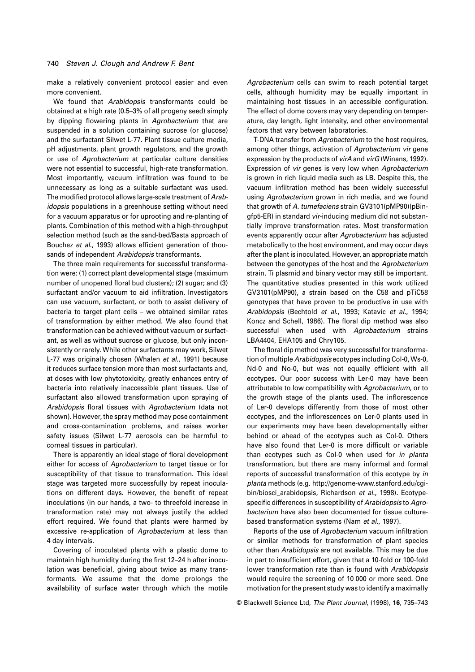make a relatively convenient protocol easier and even more convenient.

We found that Arabidopsis transformants could be obtained at a high rate (0.5–3% of all progeny seed) simply by dipping flowering plants in Agrobacterium that are suspended in a solution containing sucrose (or glucose) and the surfactant Silwet L-77. Plant tissue culture media, pH adjustments, plant growth regulators, and the growth or use of Agrobacterium at particular culture densities were not essential to successful, high-rate transformation. Most importantly, vacuum infiltration was found to be unnecessary as long as a suitable surfactant was used. The modified protocol allows large-scale treatment of Arabidopsis populations in a greenhouse setting without need for a vacuum apparatus or for uprooting and re-planting of plants. Combination of this method with a high-throughput selection method (such as the sand-bed/Basta approach of Bouchez et al., 1993) allows efficient generation of thousands of independent Arabidopsis transformants.

The three main requirements for successful transformation were: (1) correct plant developmental stage (maximum number of unopened floral bud clusters); (2) sugar; and (3) surfactant and/or vacuum to aid infiltration. Investigators can use vacuum, surfactant, or both to assist delivery of bacteria to target plant cells – we obtained similar rates of transformation by either method. We also found that transformation can be achieved without vacuum or surfactant, as well as without sucrose or glucose, but only inconsistently or rarely. While other surfactants may work, Silwet L-77 was originally chosen (Whalen et al., 1991) because it reduces surface tension more than most surfactants and, at doses with low phytotoxicity, greatly enhances entry of bacteria into relatively inaccessible plant tissues. Use of surfactant also allowed transformation upon spraying of Arabidopsis floral tissues with Agrobacterium (data not shown). However, the spray method may pose containment and cross-contamination problems, and raises worker safety issues (Silwet L-77 aerosols can be harmful to corneal tissues in particular).

There is apparently an ideal stage of floral development either for access of Agrobacterium to target tissue or for susceptibility of that tissue to transformation. This ideal stage was targeted more successfully by repeat inoculations on different days. However, the benefit of repeat inoculations (in our hands, a two- to threefold increase in transformation rate) may not always justify the added effort required. We found that plants were harmed by excessive re-application of Agrobacterium at less than 4 day intervals.

Covering of inoculated plants with a plastic dome to maintain high humidity during the first 12–24 h after inoculation was beneficial, giving about twice as many transformants. We assume that the dome prolongs the availability of surface water through which the motile

Agrobacterium cells can swim to reach potential target cells, although humidity may be equally important in maintaining host tissues in an accessible configuration. The effect of dome covers may vary depending on temperature, day length, light intensity, and other environmental factors that vary between laboratories.

T-DNA transfer from Agrobacterium to the host requires, among other things, activation of Agrobacterium vir gene expression by the products of *virA* and *virG* (Winans, 1992). Expression of vir genes is very low when Agrobacterium is grown in rich liquid media such as LB. Despite this, the vacuum infiltration method has been widely successful using Agrobacterium grown in rich media, and we found that growth of A. tumefaciens strain GV3101(pMP90)(pBingfp5-ER) in standard vir-inducing medium did not substantially improve transformation rates. Most transformation events apparently occur after Agrobacterium has adjusted metabolically to the host environment, and may occur days after the plant is inoculated. However, an appropriate match between the genotypes of the host and the Agrobacterium strain, Ti plasmid and binary vector may still be important. The quantitative studies presented in this work utilized GV3101(pMP90), a strain based on the C58 and pTiC58 genotypes that have proven to be productive in use with Arabidopsis (Bechtold et al., 1993; Katavic et al., 1994; Koncz and Schell, 1986). The floral dip method was also successful when used with Agrobacterium strains LBA4404, EHA105 and Chry105.

The floral dip method was very successful for transformation of multiple Arabidopsis ecotypes including Col-0, Ws-0, Nd-0 and No-0, but was not equally efficient with all ecotypes. Our poor success with Ler-0 may have been attributable to low compatibility with Agrobacterium, or to the growth stage of the plants used. The inflorescence of Ler-0 develops differently from those of most other ecotypes, and the inflorescences on Ler-0 plants used in our experiments may have been developmentally either behind or ahead of the ecotypes such as Col-0. Others have also found that Ler-0 is more difficult or variable than ecotypes such as Col-0 when used for in planta transformation, but there are many informal and formal reports of successful transformation of this ecotype by in planta methods (e.g. http://genome-www.stanford.edu/cgibin/biosci\_arabidopsis, Richardson et al., 1998). Ecotypespecific differences in susceptibility of Arabidopsis to Agrobacterium have also been documented for tissue culturebased transformation systems (Nam et al., 1997).

Reports of the use of Agrobacterium vacuum infiltration or similar methods for transformation of plant species other than Arabidopsis are not available. This may be due in part to insufficient effort, given that a 10-fold or 100-fold lower transformation rate than is found with Arabidopsis would require the screening of 10 000 or more seed. One motivation for the present study was to identify a maximally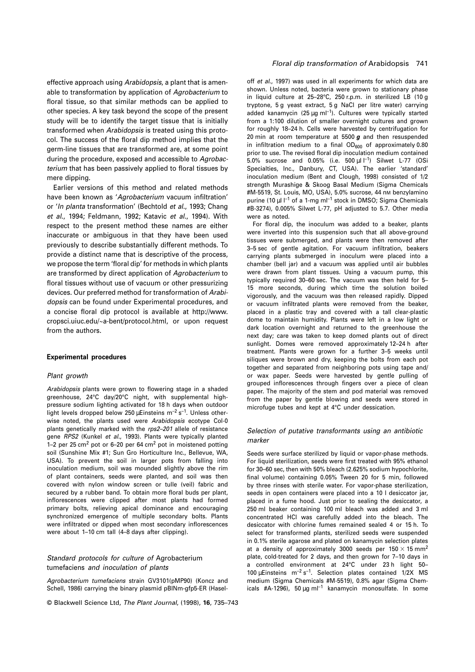effective approach using Arabidopsis, a plant that is amenable to transformation by application of Agrobacterium to floral tissue, so that similar methods can be applied to other species. A key task beyond the scope of the present study will be to identify the target tissue that is initially transformed when Arabidopsis is treated using this protocol. The success of the floral dip method implies that the germ-line tissues that are transformed are, at some point during the procedure, exposed and accessible to Agrobacterium that has been passively applied to floral tissues by mere dipping.

Earlier versions of this method and related methods have been known as 'Agrobacterium vacuum infiltration' or 'In planta transformation' (Bechtold et al., 1993; Chang et al., 1994; Feldmann, 1992; Katavic et al., 1994). With respect to the present method these names are either inaccurate or ambiguous in that they have been used previously to describe substantially different methods. To provide a distinct name that is descriptive of the process, we propose the term 'floral dip' for methods in which plants are transformed by direct application of Agrobacterium to floral tissues without use of vacuum or other pressurizing devices. Our preferred method for transformation of Arabidopsis can be found under Experimental procedures, and a concise floral dip protocol is available at http://www. cropsci.uiuc.edu/~a-bent/protocol.html, or upon request from the authors.

## **Experimental procedures**

## Plant growth

Arabidopsis plants were grown to flowering stage in a shaded greenhouse, 24°C day/20°C night, with supplemental highpressure sodium lighting activated for 18 h days when outdoor light levels dropped below 250 µEinsteins  $m^{-2} s^{-1}$ . Unless otherwise noted, the plants used were Arabidopsis ecotype Col-0 plants genetically marked with the rps2–201 allele of resistance gene RPS2 (Kunkel et al., 1993). Plants were typically planted 1–2 per 25 cm<sup>2</sup> pot or 6–20 per 64 cm<sup>2</sup> pot in moistened potting soil (Sunshine Mix #1; Sun Gro Horticulture Inc., Bellevue, WA, USA). To prevent the soil in larger pots from falling into inoculation medium, soil was mounded slightly above the rim of plant containers, seeds were planted, and soil was then covered with nylon window screen or tulle (veil) fabric and secured by a rubber band. To obtain more floral buds per plant, inflorescences were clipped after most plants had formed primary bolts, relieving apical dominance and encouraging synchronized emergence of multiple secondary bolts. Plants were infiltrated or dipped when most secondary inflorescences were about 1–10 cm tall (4–8 days after clipping).

## Standard protocols for culture of Agrobacterium tumefaciens and inoculation of plants

Agrobacterium tumefaciens strain GV3101(pMP90) (Koncz and Schell, 1986) carrying the binary plasmid pBINm-gfp5-ER (Hasel-

© Blackwell Science Ltd, The Plant Journal, (1998), **16**, 735–743

#### Floral dip transformation of Arabidopsis 741

off et al., 1997) was used in all experiments for which data are shown. Unless noted, bacteria were grown to stationary phase in liquid culture at 25–28°C, 250 r.p.m. in sterilized LB (10 g tryptone, 5 g yeast extract, 5 g NaCl per litre water) carrying added kanamycin (25 µg ml<sup>-1</sup>). Cultures were typically started from a 1:100 dilution of smaller overnight cultures and grown for roughly 18–24 h. Cells were harvested by centrifugation for 20 min at room temperature at 5500 **g** and then resuspended in infiltration medium to a final  $OD<sub>600</sub>$  of approximately 0.80 prior to use. The revised floral dip inoculation medium contained 5.0% sucrose and 0.05% (i.e. 500  $\mu$ I  $^{-1}$ ) Silwet L-77 (OSi Specialties, Inc., Danbury, CT, USA). The earlier 'standard' inoculation medium (Bent and Clough, 1998) consisted of 1/2 strength Murashige & Skoog Basal Medium (Sigma Chemicals #M-5519, St. Louis, MO, USA), 5.0% sucrose, 44 nM benzylamino purine (10  $\mu$ l l<sup>-1</sup> of a 1-mg ml<sup>-1</sup> stock in DMSO; Sigma Chemicals #B-3274), 0.005% Silwet L-77, pH adjusted to 5.7. Other media were as noted.

For floral dip, the inoculum was added to a beaker, plants were inverted into this suspension such that all above-ground tissues were submerged, and plants were then removed after 3–5 sec of gentle agitation. For vacuum infiltration, beakers carrying plants submerged in inoculum were placed into a chamber (bell jar) and a vacuum was applied until air bubbles were drawn from plant tissues. Using a vacuum pump, this typically required 30–60 sec. The vacuum was then held for 5– 15 more seconds, during which time the solution boiled vigorously, and the vacuum was then released rapidly. Dipped or vacuum infiltrated plants were removed from the beaker, placed in a plastic tray and covered with a tall clear-plastic dome to maintain humidity. Plants were left in a low light or dark location overnight and returned to the greenhouse the next day; care was taken to keep domed plants out of direct sunlight. Domes were removed approximately 12–24 h after treatment. Plants were grown for a further 3–5 weeks until siliques were brown and dry, keeping the bolts from each pot together and separated from neighboring pots using tape and/ or wax paper. Seeds were harvested by gentle pulling of grouped inflorescences through fingers over a piece of clean paper. The majority of the stem and pod material was removed from the paper by gentle blowing and seeds were stored in microfuge tubes and kept at 4°C under dessication.

## Selection of putative transformants using an antibiotic marker

Seeds were surface sterilized by liquid or vapor-phase methods. For liquid sterilization, seeds were first treated with 95% ethanol for 30–60 sec, then with 50% bleach (2.625% sodium hypochlorite, final volume) containing 0.05% Tween 20 for 5 min, followed by three rinses with sterile water. For vapor-phase sterilization, seeds in open containers were placed into a 10 l desiccator jar, placed in a fume hood. Just prior to sealing the desiccator, a 250 ml beaker containing 100 ml bleach was added and 3 ml concentrated HCl was carefully added into the bleach. The desiccator with chlorine fumes remained sealed 4 or 15 h. To select for transformed plants, sterilized seeds were suspended in 0.1% sterile agarose and plated on kanamycin selection plates at a density of approximately 3000 seeds per 150  $\times$  15 mm<sup>2</sup> plate, cold-treated for 2 days, and then grown for 7–10 days in a controlled environment at 24°C under 23 h light 50– 100 µEinsteins  $m^{-2} s^{-1}$ . Selection plates contained 1/2X MS medium (Sigma Chemicals #M-5519), 0.8% agar (Sigma Chemicals #A-1296), 50  $\mu$ g ml<sup>-1</sup> kanamycin monosulfate. In some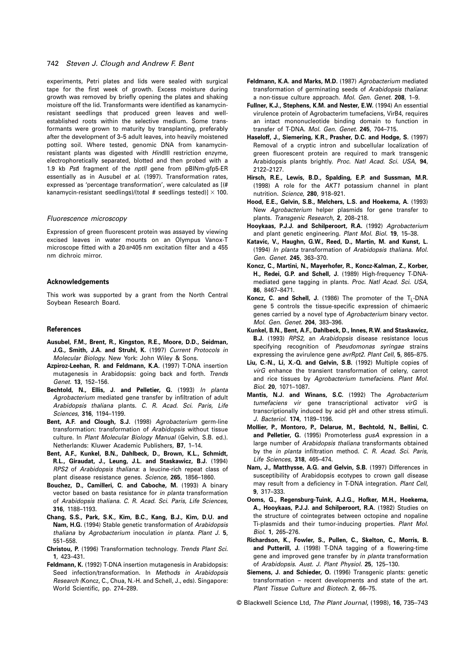#### 742 Steven J. Clough and Andrew F. Bent

experiments, Petri plates and lids were sealed with surgical tape for the first week of growth. Excess moisture during growth was removed by briefly opening the plates and shaking moisture off the lid. Transformants were identified as kanamycinresistant seedlings that produced green leaves and wellestablished roots within the selective medium. Some transformants were grown to maturity by transplanting, preferably after the development of 3–5 adult leaves, into heavily moistened potting soil. Where tested, genomic DNA from kanamycinresistant plants was digested with HindIII restriction enzyme, electrophoretically separated, blotted and then probed with a 1.9 kb Pstl fragment of the nptll gene from pBINm-gfp5-ER essentially as in Ausubel et al. (1997). Transformation rates, expressed as 'percentage transformation', were calculated as [(# kanamycin-resistant seedlings)/(total # seedlings tested)]  $\times$  100.

#### Fluorescence microscopy

Expression of green fluorescent protein was assayed by viewing excised leaves in water mounts on an Olympus Vanox-T microscope fitted with a 20-BP405 nm excitation filter and a 455 nm dichroic mirror.

#### **Acknowledgements**

This work was supported by a grant from the North Central Soybean Research Board.

## **References**

- **Ausubel, F.M., Brent, R., Kingston, R.E., Moore, D.D., Seidman, J.G., Smith, J.A. and Struhl, K.** (1997) Current Protocols in Molecular Biology. New York: John Wiley & Sons.
- **Azpiroz-Leehan, R. and Feldmann, K.A.** (1997) T-DNA insertion mutagenesis in Arabidopsis: going back and forth. Trends Genet. **13**, 152–156.
- **Bechtold, N., Ellis, J. and Pelletier, G.** (1993) In planta Agrobacterium mediated gene transfer by infiltration of adult Arabidopsis thaliana plants. C. R. Acad. Sci. Paris, Life Sciences, **316**, 1194–1199.
- **Bent, A.F. and Clough, S.J.** (1998) Agrobacterium germ-line transformation: transformation of Arabidopsis without tissue culture. In Plant Molecular Biology Manual (Gelvin, S.B. ed.). Netherlands: Kluwer Academic Publishers, **B7**, 1–14.
- **Bent, A.F., Kunkel, B.N., Dahlbeck, D., Brown, K.L., Schmidt, R.L., Giraudat, J., Leung, J.L. and Staskawicz, B.J.** (1994) RPS2 of Arabidopsis thaliana: a leucine-rich repeat class of plant disease resistance genes. Science, **265**, 1856–1860.
- **Bouchez, D., Camilleri, C. and Caboche, M.** (1993) A binary vector based on basta resistance for in planta transformation of Arabidopsis thaliana. C. R. Acad. Sci. Paris, Life Sciences, **316**, 1188–1193.
- **Chang, S.S., Park, S.K., Kim, B.C., Kang, B.J., Kim, D.U. and Nam, H.G.** (1994) Stable genetic transformation of Arabidopsis thaliana by Agrobacterium inoculation in planta. Plant J. **5**, 551–558.
- **Christou, P.** (1996) Transformation technology. Trends Plant Sci. **1**, 423–431.
- **Feldmann, K.** (1992) T-DNA insertion mutagenesis in Arabidopsis: Seed infection/transformation. In Methods in Arabidopsis Research (Koncz, C., Chua, N.-H. and Schell, J., eds). Singapore: World Scientific, pp. 274–289.
- **Feldmann, K.A. and Marks, M.D.** (1987) Agrobacterium mediated transformation of germinating seeds of Arabidopsis thaliana: a non-tissue culture approach. Mol. Gen. Genet. **208**, 1–9.
- **Fullner, K.J., Stephens, K.M. and Nester, E.W.** (1994) An essential virulence protein of Agrobacterim tumefaciens, VirB4, requires an intact mononucleotide binding domain to function in transfer of T-DNA. Mol. Gen. Genet. **245**, 704–715.
- **Haseloff, J., Siemering, K.R., Prasher, D.C. and Hodge, S.** (1997) Removal of a cryptic intron and subcellular localization of green fluorescent protein are required to mark transgenic Arabidopsis plants brightly. Proc. Natl Acad. Sci. USA, **94**, 2122–2127.
- **Hirsch, R.E., Lewis, B.D., Spalding, E.P. and Sussman, M.R.** (1998) A role for the AKT1 potassium channel in plant nutrition. Science, **280**, 918–921.
- **Hood, E.E., Gelvin, S.B., Melchers, L.S. and Hoekema, A.** (1993) New Agrobacterium helper plasmids for gene transfer to plants. Transgenic Research, **2**, 208–218.
- **Hooykaas, P.J.J. and Schilperoort, R.A.** (1992) Agrobacterium and plant genetic engineering. Plant Mol. Biol. **19**, 15–38.
- **Katavic, V., Haughn, G.W., Reed, D., Martin, M. and Kunst, L.** (1994) In planta transformation of Arabidopsis thaliana. Mol. Gen. Genet. **245**, 363–370.
- **Koncz, C., Martini, N., Mayerhofer, R., Koncz-Kalman, Z., Korber, H., Redei, G.P. and Schell, J.** (1989) High-frequency T-DNAmediated gene tagging in plants. Proc. Natl Acad. Sci. USA, **86**, 8467–8471.
- Koncz, C. and Schell, J. (1986) The promoter of the T<sub>L-</sub>DNA gene 5 controls the tissue-specific expression of chimaeric genes carried by a novel type of Agrobacterium binary vector. Mol. Gen. Genet. **204**, 383–396.
- **Kunkel, B.N., Bent, A.F., Dahlbeck, D., Innes, R.W. and Staskawicz, B.J.** (1993) RPS2, an Arabidopsis disease resistance locus specifying recognition of Pseudomonas syringae strains expressing the avirulence gene avrRpt2. Plant Cell, **5**, 865–875.
- **Liu, C.-N., Li, X.-Q. and Gelvin, S.B.** (1992) Multiple copies of virG enhance the transient transformation of celery, carrot and rice tissues by Agrobacterium tumefaciens. Plant Mol. Biol. **20**, 1071–1087.
- **Mantis, N.J. and Winans, S.C.** (1992) The Agrobacterium tumefaciens vir gene transcriptional activator virG is transcriptionally induced by acid pH and other stress stimuli. J. Bacteriol. **174**, 1189–1196.
- **Mollier, P., Montoro, P., Delarue, M., Bechtold, N., Bellini, C. and Pelletier, G.** (1995) Promoterless gusA expression in a large number of Arabidopsis thaliana transformants obtained by the in planta infiltration method. C. R. Acad. Sci. Paris, Life Sciences, **318**, 465–474.
- **Nam, J., Matthysse, A.G. and Gelvin, S.B.** (1997) Differences in susceptibility of Arabidopsis ecotypes to crown gall disease may result from a deficiency in T-DNA integration. Plant Cell, **9**, 317–333.
- **Ooms, G., Regensburg-Tuink, A.J.G., Hofker, M.H., Hoekema, A., Hooykaas, P.J.J. and Schilperoort, R.A.** (1982) Studies on the structure of cointegrates between octopine and nopaline Ti-plasmids and their tumor-inducing properties. Plant Mol. Biol. **1**, 265–276.
- **Richardson, K., Fowler, S., Pullen, C., Skelton, C., Morris, B. and Putterill, J.** (1998) T-DNA tagging of a flowering-time gene and improved gene transfer by in planta transformation of Arabidopsis. Aust. J. Plant Physiol. **25**, 125–130.
- **Siemens, J. and Schieder, O.** (1996) Transgenic plants: genetic transformation – recent developments and state of the art. Plant Tissue Culture and Biotech. **2**, 66–75.